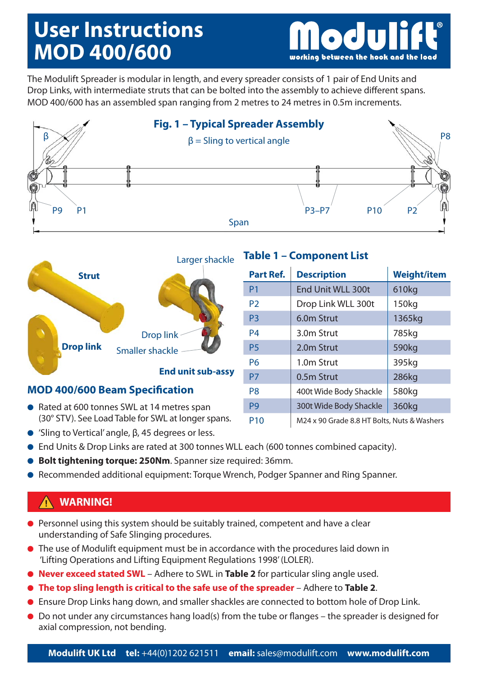# **User Instructions MOD 400/600**

working between the hook and the load

The Modulift Spreader is modular in length, and every spreader consists of 1 pair of End Units and Drop Links, with intermediate struts that can be bolted into the assembly to achieve different spans. MOD 400/600 has an assembled span ranging from 2 metres to 24 metres in 0.5m increments.





### **MOD 400/600 Beam Specification**

- Rated at 600 tonnes SWL at 14 metres span (30° STV). See Load Table for SWL at longer spans.
- 'Sling to Vertical' angle, β, 45 degrees or less.

## **Table 1 – Component List**

| <b>Part Ref.</b> | <b>Description</b>                          | <b>Weight/item</b> |  |  |  |
|------------------|---------------------------------------------|--------------------|--|--|--|
| P <sub>1</sub>   | End Unit WLL 300t                           | 610kg              |  |  |  |
| P <sub>2</sub>   | Drop Link WLL 300t                          | 150kg              |  |  |  |
| P <sub>3</sub>   | 6.0m Strut                                  | 1365kg             |  |  |  |
| <b>P4</b>        | 3.0m Strut                                  | 785kg              |  |  |  |
| P <sub>5</sub>   | 2.0m Strut                                  | 590kg              |  |  |  |
| P <sub>6</sub>   | 1.0m Strut                                  | 395kg              |  |  |  |
| P7               | 0.5m Strut                                  | 286kg              |  |  |  |
| P <sub>8</sub>   | 400t Wide Body Shackle                      | 580kg              |  |  |  |
| P <sub>9</sub>   | 300t Wide Body Shackle                      | 360kg              |  |  |  |
| P <sub>10</sub>  | M24 x 90 Grade 8.8 HT Bolts, Nuts & Washers |                    |  |  |  |

- End Units & Drop Links are rated at 300 tonnes WLL each (600 tonnes combined capacity).
- **Bolt tightening torque: 250Nm**. Spanner size required: 36mm.
- Recommended additional equipment: Torque Wrench, Podger Spanner and Ring Spanner.

### **WARNING!**

- Personnel using this system should be suitably trained, competent and have a clear understanding of Safe Slinging procedures.
- The use of Modulift equipment must be in accordance with the procedures laid down in 'Lifting Operations and Lifting Equipment Regulations 1998' (LOLER).
- **Never exceed stated SWL** Adhere to SWL in **Table 2** for particular sling angle used.
- **The top sling length is critical to the safe use of the spreader** Adhere to **Table 2**.
- Ensure Drop Links hang down, and smaller shackles are connected to bottom hole of Drop Link.
- Do not under any circumstances hang load(s) from the tube or flanges the spreader is designed for axial compression, not bending.